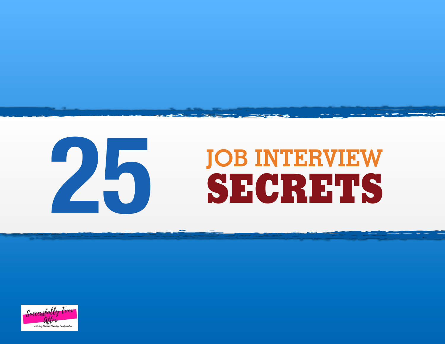

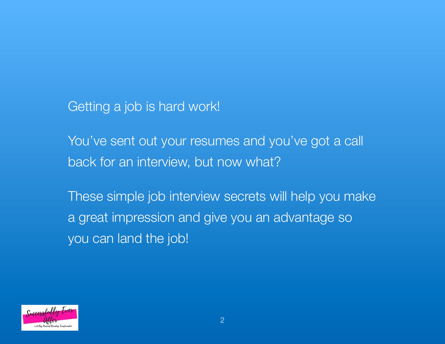Getting a job is hard work!

You've sent out your resumes and you've got a call back for an interview, but now what?

These simple job interview secrets will help you make a great impression and give you an advantage so you can land the job!

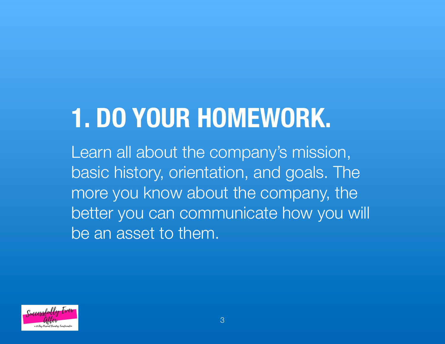# **1. DO YOUR HOMEWORK.**

Learn all about the company's mission, basic history, orientation, and goals. The more you know about the company, the better you can communicate how you will be an asset to them.

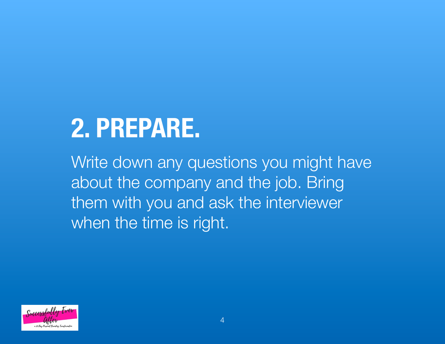## **2. PREPARE.**

Write down any questions you might have about the company and the job. Bring them with you and ask the interviewer when the time is right.

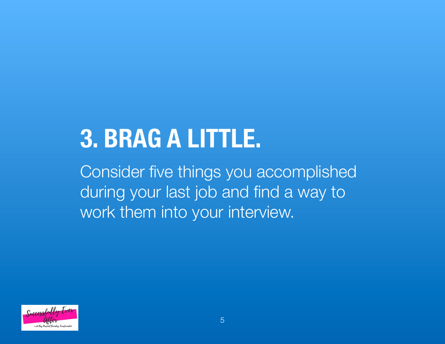#### **3. BRAG A LITTLE.**

Consider five things you accomplished during your last job and find a way to work them into your interview.

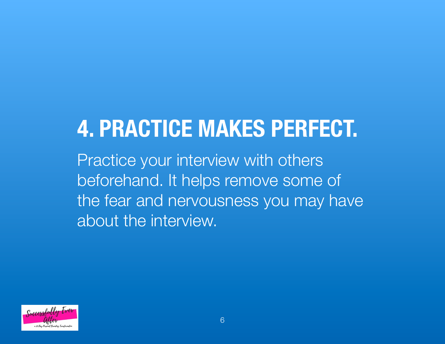#### **4. PRACTICE MAKES PERFECT.** Practice your interview with others beforehand. It helps remove some of the fear and nervousness you may have about the interview.

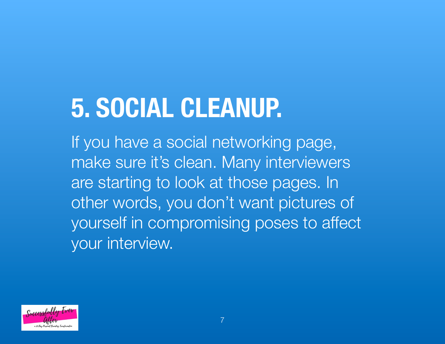### **5. SOCIAL CLEANUP.**

If you have a social networking page, make sure it's clean. Many interviewers are starting to look at those pages. In other words, you don't want pictures of yourself in compromising poses to affect your interview.

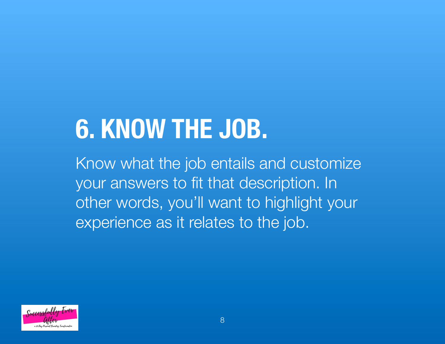## **6. KNOW THE JOB.**

Know what the job entails and customize your answers to fit that description. In other words, you'll want to highlight your experience as it relates to the job.

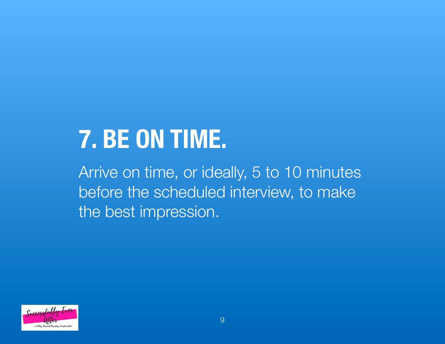#### **7. BE ON TIME.**

Arrive on time, or ideally, 5 to 10 minutes before the scheduled interview, to make the best impression.

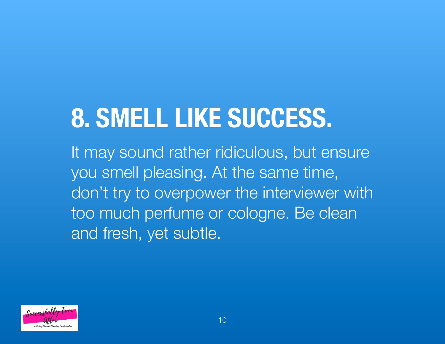# **8. SMELL LIKE SUCCESS.**

It may sound rather ridiculous, but ensure you smell pleasing. At the same time, don't try to overpower the interviewer with too much perfume or cologne. Be clean and fresh, yet subtle.

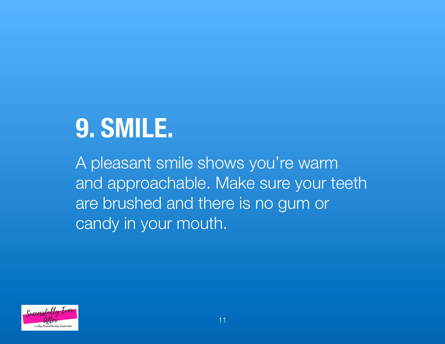## **9. SMILE.**

A pleasant smile shows you're warm and approachable. Make sure your teeth are brushed and there is no gum or candy in your mouth.

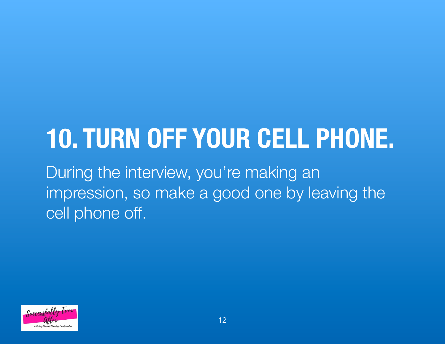#### **10. TURN OFF YOUR CELL PHONE.** During the interview, you're making an impression, so make a good one by leaving the

cell phone off.

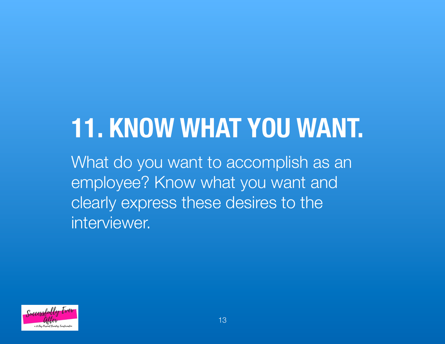## **11. KNOW WHAT YOU WANT.**

What do you want to accomplish as an employee? Know what you want and clearly express these desires to the interviewer.

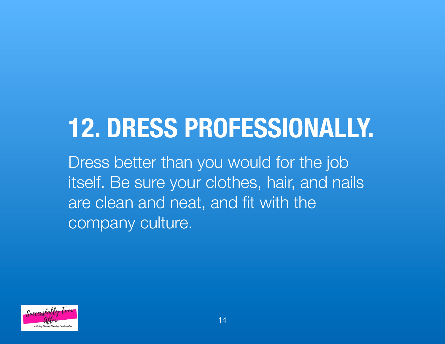## **12. DRESS PROFESSIONALLY.**

Dress better than you would for the job itself. Be sure your clothes, hair, and nails are clean and neat, and fit with the company culture.

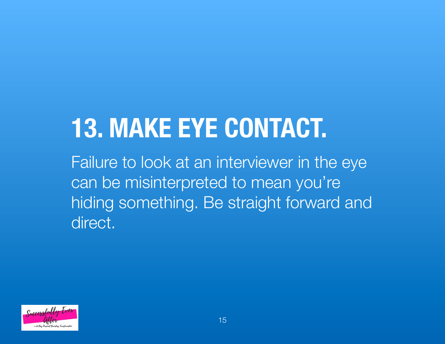# **13. MAKE EYE CONTACT.**

Failure to look at an interviewer in the eye can be misinterpreted to mean you're hiding something. Be straight forward and direct.

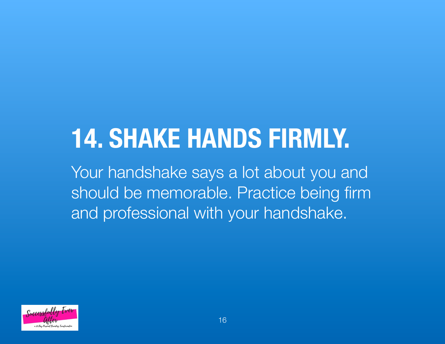# **14. SHAKE HANDS FIRMLY.**

Your handshake says a lot about you and should be memorable. Practice being firm and professional with your handshake.

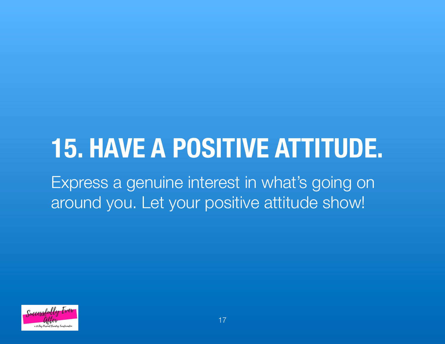#### **15. HAVE A POSITIVE ATTITUDE.** Express a genuine interest in what's going on around you. Let your positive attitude show!

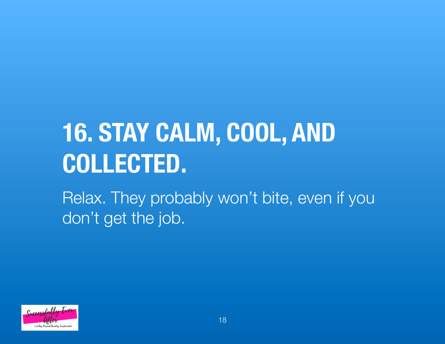#### **16. STAY CALM, COOL, AND COLLECTED.** Relax. They probably won't bite, even if you don't get the job.

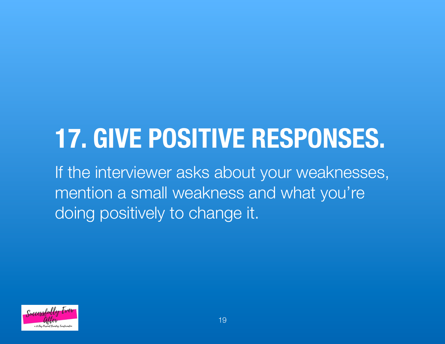## **17. GIVE POSITIVE RESPONSES.**

If the interviewer asks about your weaknesses, mention a small weakness and what you're doing positively to change it.

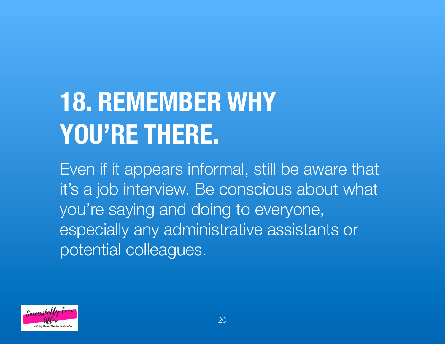# **18. REMEMBER WHY YOU'RE THERE.**

Even if it appears informal, still be aware that it's a job interview. Be conscious about what you're saying and doing to everyone, especially any administrative assistants or potential colleagues.

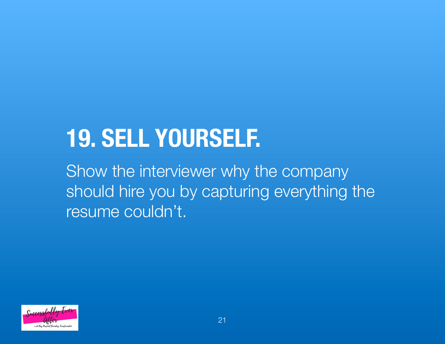#### **19. SELL YOURSELF.**

Show the interviewer why the company should hire you by capturing everything the resume couldn't.

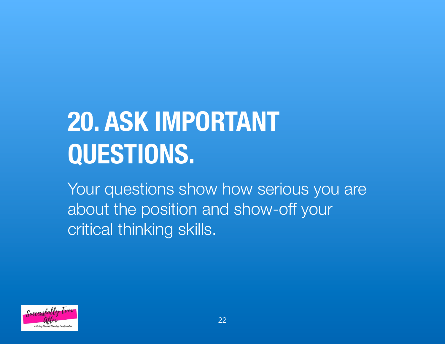# **20. ASK IMPORTANT QUESTIONS.**

Your questions show how serious you are about the position and show-off your critical thinking skills.

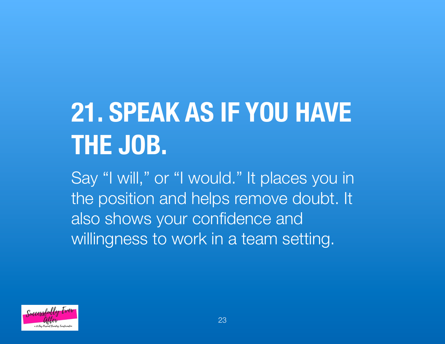# **21. SPEAK AS IF YOU HAVE THE JOB.**

Say "I will," or "I would." It places you in the position and helps remove doubt. It also shows your confidence and willingness to work in a team setting.

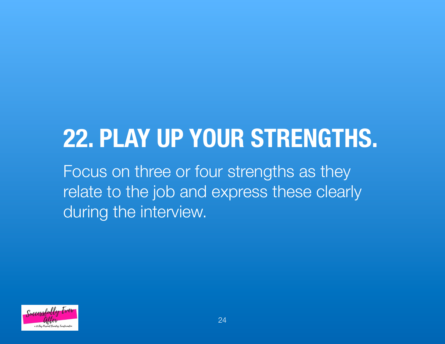#### **22. PLAY UP YOUR STRENGTHS.**

Focus on three or four strengths as they relate to the job and express these clearly during the interview.

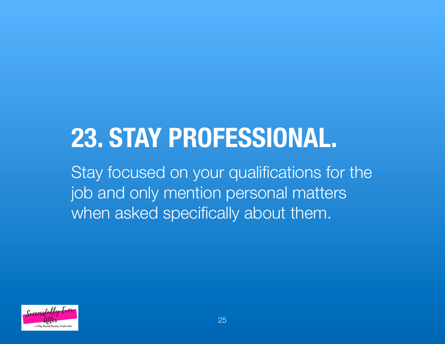### **23. STAY PROFESSIONAL.**

Stay focused on your qualifications for the job and only mention personal matters when asked specifically about them.

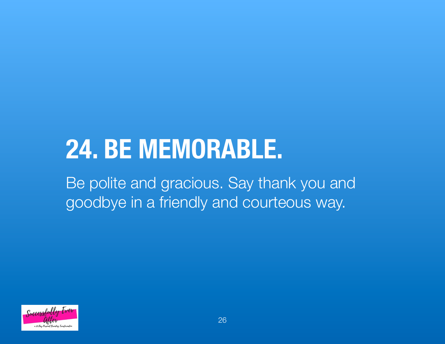#### **24. BE MEMORABLE.** Be polite and gracious. Say thank you and goodbye in a friendly and courteous way.

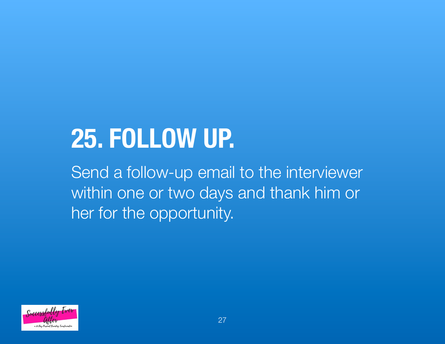## **25. FOLLOW UP.**

Send a follow-up email to the interviewer within one or two days and thank him or her for the opportunity.